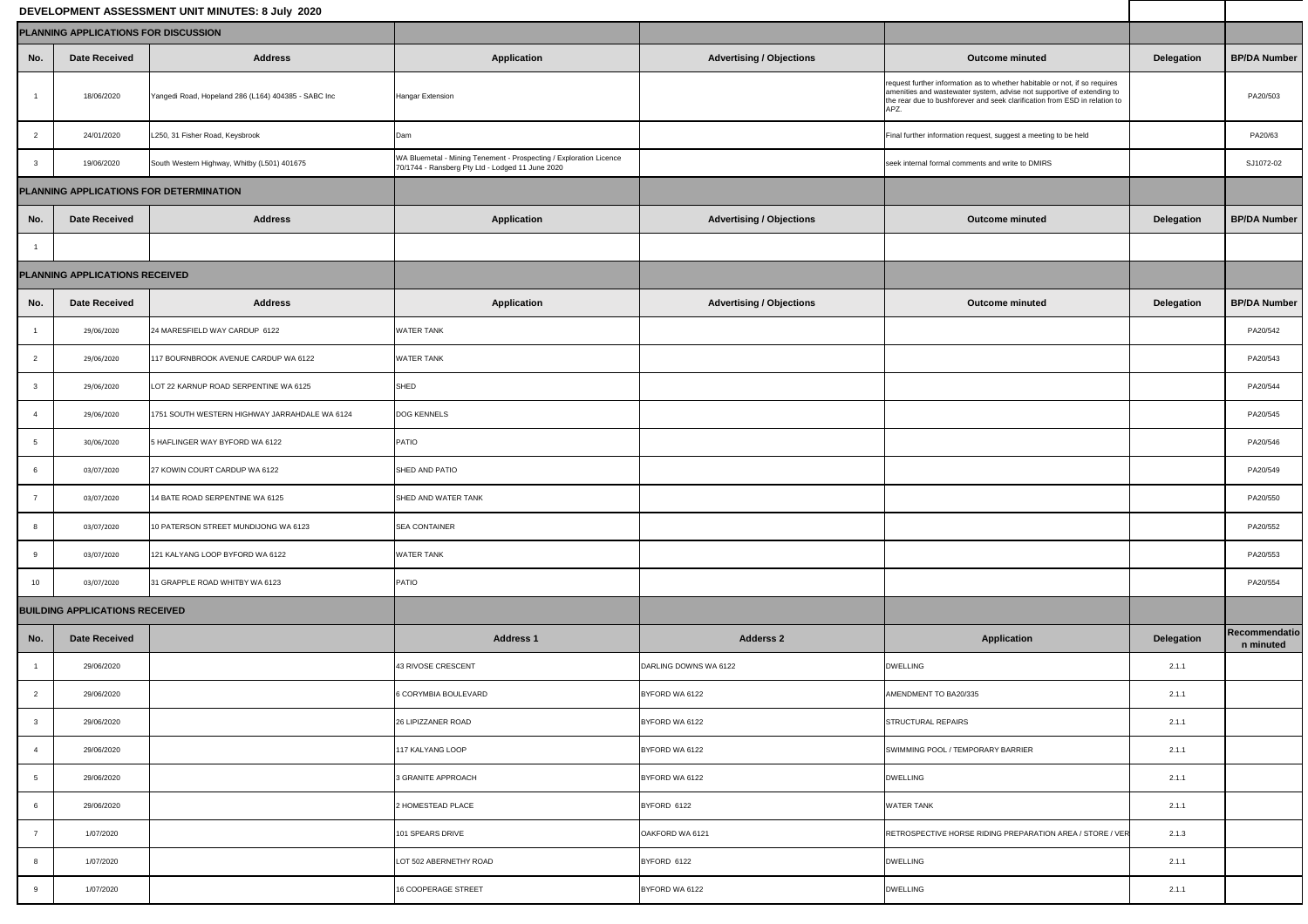## **DEVELOPMENT ASSESSMENT UNIT MINUTES: 8 July 2020**

| <b>BP/DA Number</b>        |
|----------------------------|
| PA20/503                   |
| PA20/63                    |
| SJ1072-02                  |
|                            |
| <b>BP/DA Number</b>        |
|                            |
|                            |
| <b>BP/DA Number</b>        |
| PA20/542                   |
| PA20/543                   |
| PA20/544                   |
| PA20/545                   |
| PA20/546                   |
| PA20/549                   |
| PA20/550                   |
| PA20/552                   |
| PA20/553                   |
| PA20/554                   |
|                            |
| Recommendatio<br>n minuted |
|                            |
|                            |
|                            |
|                            |
|                            |
|                            |
|                            |
|                            |
|                            |
|                            |

| DEVELOPMENT ASSESSMENT UNIT MINUTES: 8 July 2020 |                                       |                                                     |                                                                                                                        |                                 |                                                                                                                                                                                                                                            |                   |                            |
|--------------------------------------------------|---------------------------------------|-----------------------------------------------------|------------------------------------------------------------------------------------------------------------------------|---------------------------------|--------------------------------------------------------------------------------------------------------------------------------------------------------------------------------------------------------------------------------------------|-------------------|----------------------------|
| <b>PLANNING APPLICATIONS FOR DISCUSSION</b>      |                                       |                                                     |                                                                                                                        |                                 |                                                                                                                                                                                                                                            |                   |                            |
| No.                                              | <b>Date Received</b>                  | <b>Address</b>                                      | <b>Application</b>                                                                                                     | <b>Advertising / Objections</b> | <b>Outcome minuted</b>                                                                                                                                                                                                                     | <b>Delegation</b> | <b>BP/DA Number</b>        |
|                                                  | 18/06/2020                            | Yangedi Road, Hopeland 286 (L164) 404385 - SABC Inc | <b>Hangar Extension</b>                                                                                                |                                 | request further information as to whether habitable or not, if so requires<br>amenities and wastewater system, advise not supportive of extending to<br>the rear due to bushforever and seek clarification from ESD in relation to<br>APZ. |                   | PA20/503                   |
|                                                  | 24/01/2020                            | L250, 31 Fisher Road, Keysbrook                     | Dam                                                                                                                    |                                 | Final further information request, suggest a meeting to be held                                                                                                                                                                            |                   | PA20/63                    |
|                                                  | 19/06/2020                            | South Western Highway, Whitby (L501) 401675         | WA Bluemetal - Mining Tenement - Prospecting / Exploration Licence<br>70/1744 - Ransberg Pty Ltd - Lodged 11 June 2020 |                                 | seek internal formal comments and write to DMIRS                                                                                                                                                                                           |                   | SJ1072-02                  |
| PLANNING APPLICATIONS FOR DETERMINATION          |                                       |                                                     |                                                                                                                        |                                 |                                                                                                                                                                                                                                            |                   |                            |
| No.                                              | <b>Date Received</b>                  | <b>Address</b>                                      | <b>Application</b>                                                                                                     | <b>Advertising / Objections</b> | <b>Outcome minuted</b>                                                                                                                                                                                                                     | <b>Delegation</b> | <b>BP/DA Number</b>        |
|                                                  |                                       |                                                     |                                                                                                                        |                                 |                                                                                                                                                                                                                                            |                   |                            |
|                                                  | <b>PLANNING APPLICATIONS RECEIVED</b> |                                                     |                                                                                                                        |                                 |                                                                                                                                                                                                                                            |                   |                            |
| No.                                              | <b>Date Received</b>                  | <b>Address</b>                                      | <b>Application</b>                                                                                                     | <b>Advertising / Objections</b> | <b>Outcome minuted</b>                                                                                                                                                                                                                     | Delegation        | <b>BP/DA Number</b>        |
|                                                  | 29/06/2020                            | 24 MARESFIELD WAY CARDUP 6122                       | <b>WATER TANK</b>                                                                                                      |                                 |                                                                                                                                                                                                                                            |                   | PA20/542                   |
|                                                  | 29/06/2020                            | 117 BOURNBROOK AVENUE CARDUP WA 6122                | <b>WATER TANK</b>                                                                                                      |                                 |                                                                                                                                                                                                                                            |                   | PA20/543                   |
|                                                  | 29/06/2020                            | LOT 22 KARNUP ROAD SERPENTINE WA 6125               | SHED                                                                                                                   |                                 |                                                                                                                                                                                                                                            |                   | PA20/544                   |
|                                                  | 29/06/2020                            | 1751 SOUTH WESTERN HIGHWAY JARRAHDALE WA 6124       | <b>DOG KENNELS</b>                                                                                                     |                                 |                                                                                                                                                                                                                                            |                   | PA20/545                   |
|                                                  | 30/06/2020                            | 5 HAFLINGER WAY BYFORD WA 6122                      | PATIO                                                                                                                  |                                 |                                                                                                                                                                                                                                            |                   | PA20/546                   |
|                                                  | 03/07/2020                            | 27 KOWIN COURT CARDUP WA 6122                       | SHED AND PATIO                                                                                                         |                                 |                                                                                                                                                                                                                                            |                   | PA20/549                   |
|                                                  | 03/07/2020                            | 14 BATE ROAD SERPENTINE WA 6125                     | SHED AND WATER TANK                                                                                                    |                                 |                                                                                                                                                                                                                                            |                   | PA20/550                   |
|                                                  | 03/07/2020                            | 10 PATERSON STREET MUNDIJONG WA 6123                | <b>SEA CONTAINER</b>                                                                                                   |                                 |                                                                                                                                                                                                                                            |                   | PA20/552                   |
|                                                  | 03/07/2020                            | 121 KALYANG LOOP BYFORD WA 6122                     | <b>WATER TANK</b>                                                                                                      |                                 |                                                                                                                                                                                                                                            |                   | PA20/553                   |
| 10 <sup>°</sup>                                  | 03/07/2020                            | 31 GRAPPLE ROAD WHITBY WA 6123                      | PATIO                                                                                                                  |                                 |                                                                                                                                                                                                                                            |                   | PA20/554                   |
| <b>BUILDING APPLICATIONS RECEIVED</b>            |                                       |                                                     |                                                                                                                        |                                 |                                                                                                                                                                                                                                            |                   |                            |
| No.                                              | <b>Date Received</b>                  |                                                     | <b>Address 1</b>                                                                                                       | <b>Adderss 2</b>                | <b>Application</b>                                                                                                                                                                                                                         | <b>Delegation</b> | Recommendatio<br>n minuted |
|                                                  | 29/06/2020                            |                                                     | 43 RIVOSE CRESCENT                                                                                                     | DARLING DOWNS WA 6122           | <b>DWELLING</b>                                                                                                                                                                                                                            | 2.1.1             |                            |
| 2                                                | 29/06/2020                            |                                                     | 6 CORYMBIA BOULEVARD                                                                                                   | BYFORD WA 6122                  | AMENDMENT TO BA20/335                                                                                                                                                                                                                      | 2.1.1             |                            |
|                                                  | 29/06/2020                            |                                                     | 26 LIPIZZANER ROAD                                                                                                     | BYFORD WA 6122                  | STRUCTURAL REPAIRS                                                                                                                                                                                                                         | 2.1.1             |                            |
|                                                  | 29/06/2020                            |                                                     | 117 KALYANG LOOP                                                                                                       | BYFORD WA 6122                  | SWIMMING POOL / TEMPORARY BARRIER                                                                                                                                                                                                          | 2.1.1             |                            |
|                                                  | 29/06/2020                            |                                                     | 3 GRANITE APPROACH                                                                                                     | BYFORD WA 6122                  | <b>DWELLING</b>                                                                                                                                                                                                                            | 2.1.1             |                            |
|                                                  | 29/06/2020                            |                                                     | 2 HOMESTEAD PLACE                                                                                                      | BYFORD 6122                     | <b>WATER TANK</b>                                                                                                                                                                                                                          | 2.1.1             |                            |
|                                                  | 1/07/2020                             |                                                     | 101 SPEARS DRIVE                                                                                                       | OAKFORD WA 6121                 | RETROSPECTIVE HORSE RIDING PREPARATION AREA / STORE / VER                                                                                                                                                                                  | 2.1.3             |                            |
|                                                  | 1/07/2020                             |                                                     | LOT 502 ABERNETHY ROAD                                                                                                 | BYFORD 6122                     | <b>DWELLING</b>                                                                                                                                                                                                                            | 2.1.1             |                            |
|                                                  | 1/07/2020                             |                                                     | 16 COOPERAGE STREET                                                                                                    | BYFORD WA 6122                  | <b>DWELLING</b>                                                                                                                                                                                                                            | 2.1.1             |                            |
|                                                  |                                       |                                                     |                                                                                                                        |                                 |                                                                                                                                                                                                                                            |                   |                            |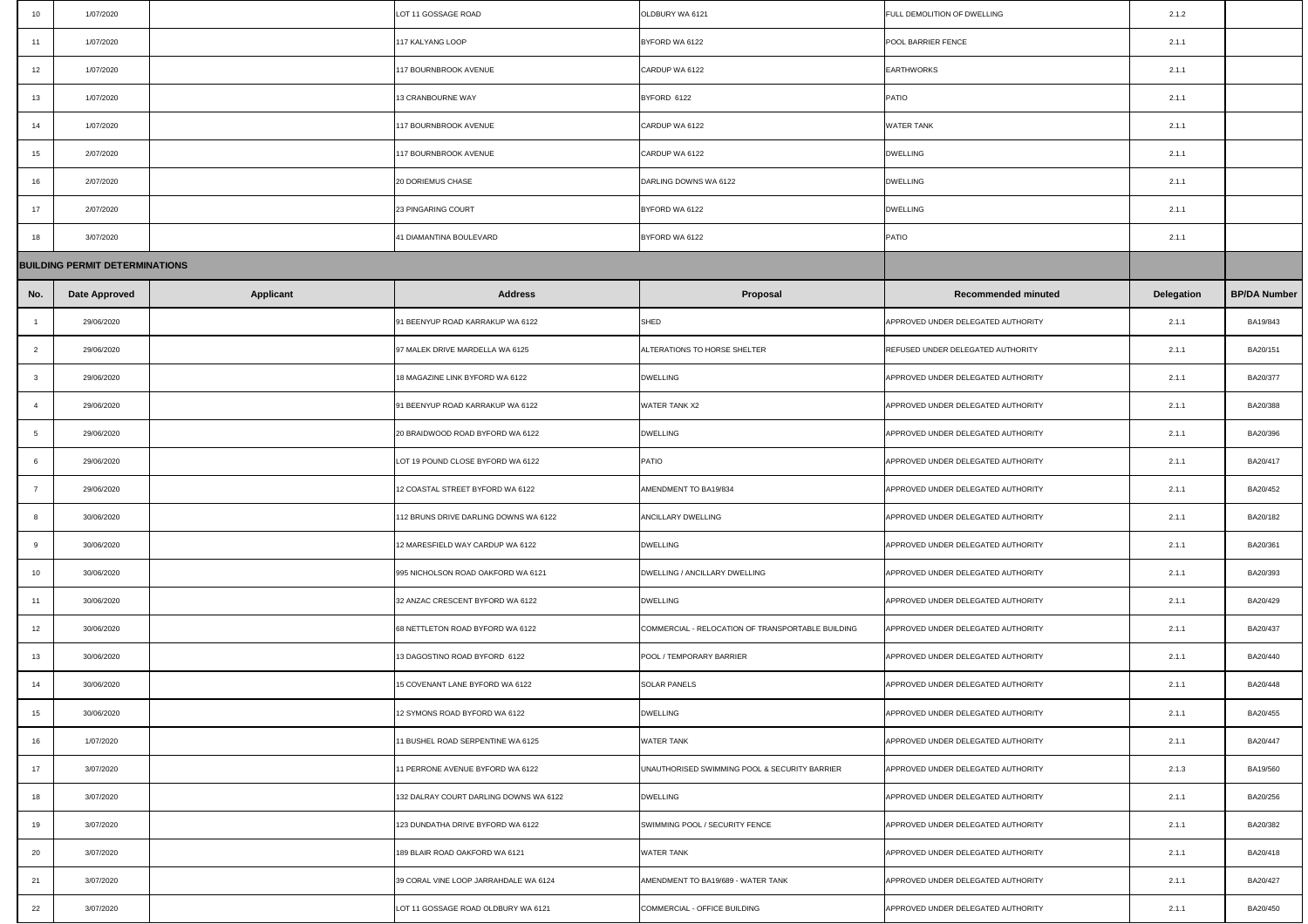| 10 <sub>1</sub> | 1/07/2020                             |                  | LOT 11 GOSSAGE ROAD                    | OLDBURY WA 6121                                   | FULL DEMOLITION OF DWELLING              | 2.1.2             |                     |  |
|-----------------|---------------------------------------|------------------|----------------------------------------|---------------------------------------------------|------------------------------------------|-------------------|---------------------|--|
| 11              | 1/07/2020                             |                  | 117 KALYANG LOOP                       | BYFORD WA 6122                                    | <b>POOL BARRIER FENCE</b>                | 2.1.1             |                     |  |
| 12              | 1/07/2020                             |                  | 117 BOURNBROOK AVENUE                  | CARDUP WA 6122                                    | <b>EARTHWORKS</b>                        | 2.1.1             |                     |  |
| 13              | 1/07/2020                             |                  | <b>13 CRANBOURNE WAY</b>               | BYFORD 6122                                       | <b>PATIO</b>                             | 2.1.1             |                     |  |
| 14              | 1/07/2020                             |                  | 117 BOURNBROOK AVENUE                  | CARDUP WA 6122                                    | <b>WATER TANK</b>                        | 2.1.1             |                     |  |
| 15              | 2/07/2020                             |                  | 117 BOURNBROOK AVENUE                  | CARDUP WA 6122                                    | <b>DWELLING</b>                          | 2.1.1             |                     |  |
| 16              | 2/07/2020                             |                  | 20 DORIEMUS CHASE                      | DARLING DOWNS WA 6122                             | <b>DWELLING</b>                          | 2.1.1             |                     |  |
| 17              | 2/07/2020                             |                  | 23 PINGARING COURT                     | BYFORD WA 6122                                    | <b>DWELLING</b>                          | 2.1.1             |                     |  |
| 18              | 3/07/2020                             |                  | 41 DIAMANTINA BOULEVARD                | BYFORD WA 6122                                    | <b>PATIO</b>                             | 2.1.1             |                     |  |
|                 | <b>BUILDING PERMIT DETERMINATIONS</b> |                  |                                        |                                                   |                                          |                   |                     |  |
| No.             | <b>Date Approved</b>                  | <b>Applicant</b> | <b>Address</b>                         | <b>Proposal</b>                                   | <b>Recommended minuted</b>               | <b>Delegation</b> | <b>BP/DA Number</b> |  |
|                 | 29/06/2020                            |                  | 91 BEENYUP ROAD KARRAKUP WA 6122       | SHED                                              | APPROVED UNDER DELEGATED AUTHORITY       | 2.1.1             | BA19/843            |  |
|                 | 29/06/2020                            |                  | 97 MALEK DRIVE MARDELLA WA 6125        | ALTERATIONS TO HORSE SHELTER                      | <b>REFUSED UNDER DELEGATED AUTHORITY</b> | 2.1.1             | BA20/151            |  |
|                 | 29/06/2020                            |                  | 18 MAGAZINE LINK BYFORD WA 6122        | <b>DWELLING</b>                                   | APPROVED UNDER DELEGATED AUTHORITY       | 2.1.1             | BA20/377            |  |
|                 | 29/06/2020                            |                  | 91 BEENYUP ROAD KARRAKUP WA 6122       | <b>WATER TANK X2</b>                              | APPROVED UNDER DELEGATED AUTHORITY       | 2.1.1             | BA20/388            |  |
|                 | 29/06/2020                            |                  | 20 BRAIDWOOD ROAD BYFORD WA 6122       | <b>DWELLING</b>                                   | APPROVED UNDER DELEGATED AUTHORITY       | 2.1.1             | BA20/396            |  |
|                 | 29/06/2020                            |                  | LOT 19 POUND CLOSE BYFORD WA 6122      | <b>PATIO</b>                                      | APPROVED UNDER DELEGATED AUTHORITY       | 2.1.1             | BA20/417            |  |
|                 | 29/06/2020                            |                  | 12 COASTAL STREET BYFORD WA 6122       | AMENDMENT TO BA19/834                             | APPROVED UNDER DELEGATED AUTHORITY       | 2.1.1             | BA20/452            |  |
|                 | 30/06/2020                            |                  | 112 BRUNS DRIVE DARLING DOWNS WA 6122  | <b>ANCILLARY DWELLING</b>                         | APPROVED UNDER DELEGATED AUTHORITY       | 2.1.1             | BA20/182            |  |
|                 | 30/06/2020                            |                  | 12 MARESFIELD WAY CARDUP WA 6122       | <b>DWELLING</b>                                   | APPROVED UNDER DELEGATED AUTHORITY       | 2.1.1             | BA20/361            |  |
| 10 <sup>°</sup> | 30/06/2020                            |                  | 995 NICHOLSON ROAD OAKFORD WA 6121     | DWELLING / ANCILLARY DWELLING                     | APPROVED UNDER DELEGATED AUTHORITY       | 2.1.1             | BA20/393            |  |
| -11-            | 30/06/2020                            |                  | 32 ANZAC CRESCENT BYFORD WA 6122       | <b>DWELLING</b>                                   | APPROVED UNDER DELEGATED AUTHORITY       | 2.1.1             | BA20/429            |  |
| 12              | 30/06/2020                            |                  | 68 NETTLETON ROAD BYFORD WA 6122       | COMMERCIAL - RELOCATION OF TRANSPORTABLE BUILDING | APPROVED UNDER DELEGATED AUTHORITY       | 2.1.1             | BA20/437            |  |
| 13              | 30/06/2020                            |                  | 13 DAGOSTINO ROAD BYFORD 6122          | <b>POOL / TEMPORARY BARRIER</b>                   | APPROVED UNDER DELEGATED AUTHORITY       | 2.1.1             | BA20/440            |  |
| 14              | 30/06/2020                            |                  | 15 COVENANT LANE BYFORD WA 6122        | <b>SOLAR PANELS</b>                               | APPROVED UNDER DELEGATED AUTHORITY       | 2.1.1             | BA20/448            |  |
| 15 <sub>1</sub> | 30/06/2020                            |                  | 12 SYMONS ROAD BYFORD WA 6122          | <b>DWELLING</b>                                   | APPROVED UNDER DELEGATED AUTHORITY       | 2.1.1             | BA20/455            |  |
| 16              | 1/07/2020                             |                  | 11 BUSHEL ROAD SERPENTINE WA 6125      | <b>WATER TANK</b>                                 | APPROVED UNDER DELEGATED AUTHORITY       | 2.1.1             | BA20/447            |  |
| 17              | 3/07/2020                             |                  | 11 PERRONE AVENUE BYFORD WA 6122       | UNAUTHORISED SWIMMING POOL & SECURITY BARRIER     | APPROVED UNDER DELEGATED AUTHORITY       | 2.1.3             | BA19/560            |  |
| 18              | 3/07/2020                             |                  | 132 DALRAY COURT DARLING DOWNS WA 6122 | <b>DWELLING</b>                                   | APPROVED UNDER DELEGATED AUTHORITY       | 2.1.1             | BA20/256            |  |
| 19              | 3/07/2020                             |                  | 123 DUNDATHA DRIVE BYFORD WA 6122      | SWIMMING POOL / SECURITY FENCE                    | APPROVED UNDER DELEGATED AUTHORITY       | 2.1.1             | BA20/382            |  |
| 20              | 3/07/2020                             |                  | 189 BLAIR ROAD OAKFORD WA 6121         | <b>WATER TANK</b>                                 | APPROVED UNDER DELEGATED AUTHORITY       | 2.1.1             | BA20/418            |  |
| 21              | 3/07/2020                             |                  | 39 CORAL VINE LOOP JARRAHDALE WA 6124  | AMENDMENT TO BA19/689 - WATER TANK                | APPROVED UNDER DELEGATED AUTHORITY       | 2.1.1             | BA20/427            |  |
| 22              | 3/07/2020                             |                  | LOT 11 GOSSAGE ROAD OLDBURY WA 6121    | COMMERCIAL - OFFICE BUILDING                      | APPROVED UNDER DELEGATED AUTHORITY       | 2.1.1             | BA20/450            |  |